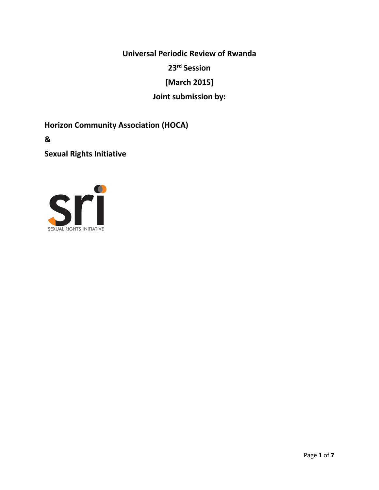**Universal Periodic Review of Rwanda 23rd Session [March 2015] Joint submission by:**

**Horizon Community Association (HOCA)**

**&** 

**Sexual Rights Initiative**

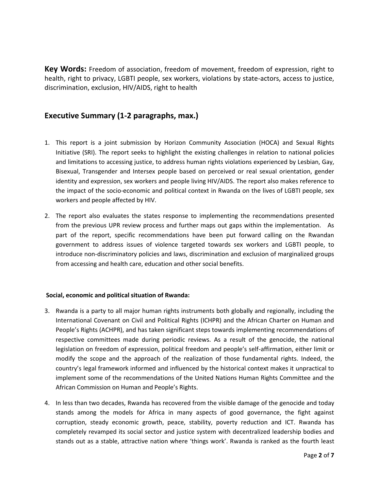**Key Words:** Freedom of association, freedom of movement, freedom of expression, right to health, right to privacy, LGBTI people, sex workers, violations by state-actors, access to justice, discrimination, exclusion, HIV/AIDS, right to health

# **Executive Summary (1-2 paragraphs, max.)**

- 1. This report is a joint submission by Horizon Community Association (HOCA) and Sexual Rights Initiative (SRI). The report seeks to highlight the existing challenges in relation to national policies and limitations to accessing justice, to address human rights violations experienced by Lesbian, Gay, Bisexual, Transgender and Intersex people based on perceived or real sexual orientation, gender identity and expression, sex workers and people living HIV/AIDS. The report also makes reference to the impact of the socio-economic and political context in Rwanda on the lives of LGBTI people, sex workers and people affected by HIV.
- 2. The report also evaluates the states response to implementing the recommendations presented from the previous UPR review process and further maps out gaps within the implementation. As part of the report, specific recommendations have been put forward calling on the Rwandan government to address issues of violence targeted towards sex workers and LGBTI people, to introduce non-discriminatory policies and laws, discrimination and exclusion of marginalized groups from accessing and health care, education and other social benefits.

## **Social, economic and political situation of Rwanda:**

- 3. Rwanda is a party to all major human rights instruments both globally and regionally, including the International Covenant on Civil and Political Rights (ICHPR) and the African Charter on Human and People's Rights (ACHPR), and has taken significant steps towards implementing recommendations of respective committees made during periodic reviews. As a result of the genocide, the national legislation on freedom of expression, political freedom and people's self-affirmation, either limit or modify the scope and the approach of the realization of those fundamental rights. Indeed, the country's legal framework informed and influenced by the historical context makes it unpractical to implement some of the recommendations of the United Nations Human Rights Committee and the African Commission on Human and People's Rights.
- 4. In less than two decades, Rwanda has recovered from the visible damage of the genocide and today stands among the models for Africa in many aspects of good governance, the fight against corruption, steady economic growth, peace, stability, poverty reduction and ICT. Rwanda has completely revamped its social sector and justice system with decentralized leadership bodies and stands out as a stable, attractive nation where 'things work'. Rwanda is ranked as the fourth least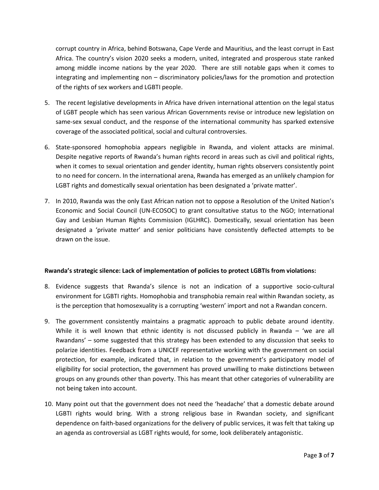corrupt country in Africa, behind Botswana, Cape Verde and Mauritius, and the least corrupt in East Africa. The country's vision 2020 seeks a modern, united, integrated and prosperous state ranked among middle income nations by the year 2020. There are still notable gaps when it comes to integrating and implementing non – discriminatory policies/laws for the promotion and protection of the rights of sex workers and LGBTI people.

- 5. The recent legislative developments in Africa have driven international attention on the legal status of LGBT people which has seen various African Governments revise or introduce new legislation on same-sex sexual conduct, and the response of the international community has sparked extensive coverage of the associated political, social and cultural controversies.
- 6. State-sponsored homophobia appears negligible in Rwanda, and violent attacks are minimal. Despite negative reports of Rwanda's human rights record in areas such as civil and political rights, when it comes to sexual orientation and gender identity, human rights observers consistently point to no need for concern. In the international arena, Rwanda has emerged as an unlikely champion for LGBT rights and domestically sexual orientation has been designated a 'private matter'.
- 7. In 2010, Rwanda was the only East African nation not to oppose a Resolution of the United Nation's Economic and Social Council (UN-ECOSOC) to grant consultative status to the NGO; International Gay and Lesbian Human Rights Commission (IGLHRC). Domestically, sexual orientation has been designated a 'private matter' and senior politicians have consistently deflected attempts to be drawn on the issue.

## **Rwanda's strategic silence: Lack of implementation of policies to protect LGBTIs from violations:**

- 8. Evidence suggests that Rwanda's silence is not an indication of a supportive socio-cultural environment for LGBTI rights. Homophobia and transphobia remain real within Rwandan society, as is the perception that homosexuality is a corrupting 'western' import and not a Rwandan concern.
- 9. The government consistently maintains a pragmatic approach to public debate around identity. While it is well known that ethnic identity is not discussed publicly in Rwanda – 'we are all Rwandans' – some suggested that this strategy has been extended to any discussion that seeks to polarize identities. Feedback from a UNICEF representative working with the government on social protection, for example, indicated that, in relation to the government's participatory model of eligibility for social protection, the government has proved unwilling to make distinctions between groups on any grounds other than poverty. This has meant that other categories of vulnerability are not being taken into account.
- 10. Many point out that the government does not need the 'headache' that a domestic debate around LGBTI rights would bring. With a strong religious base in Rwandan society, and significant dependence on faith-based organizations for the delivery of public services, it was felt that taking up an agenda as controversial as LGBT rights would, for some, look deliberately antagonistic.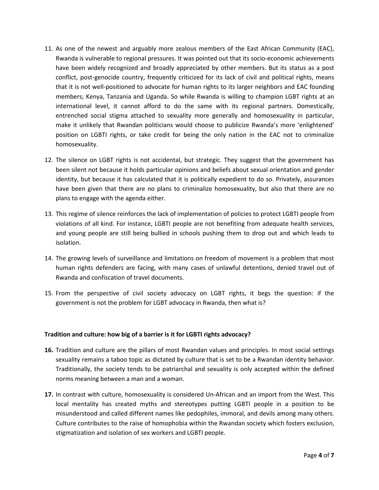- 11. As one of the newest and arguably more zealous members of the East African Community (EAC), Rwanda is vulnerable to regional pressures. It was pointed out that its socio-economic achievements have been widely recognized and broadly appreciated by other members. But its status as a post conflict, post-genocide country, frequently criticized for its lack of civil and political rights, means that it is not well-positioned to advocate for human rights to its larger neighbors and EAC founding members; Kenya, Tanzania and Uganda. So while Rwanda is willing to champion LGBT rights at an international level, it cannot afford to do the same with its regional partners. Domestically, entrenched social stigma attached to sexuality more generally and homosexuality in particular, make it unlikely that Rwandan politicians would choose to publicize Rwanda's more 'enlightened' position on LGBTI rights, or take credit for being the only nation in the EAC not to criminalize homosexuality.
- 12. The silence on LGBT rights is not accidental, but strategic. They suggest that the government has been silent not because it holds particular opinions and beliefs about sexual orientation and gender identity, but because it has calculated that it is politically expedient to do so. Privately, assurances have been given that there are no plans to criminalize homosexuality, but also that there are no plans to engage with the agenda either.
- 13. This regime of silence reinforces the lack of implementation of policies to protect LGBTI people from violations of all kind. For instance, LGBTI people are not benefiting from adequate health services, and young people are still being bullied in schools pushing them to drop out and which leads to isolation.
- 14. The growing levels of surveillance and limitations on freedom of movement is a problem that most human rights defenders are facing, with many cases of unlawful detentions, denied travel out of Rwanda and confiscation of travel documents.
- 15. From the perspective of civil society advocacy on LGBT rights, it begs the question: if the government is not the problem for LGBT advocacy in Rwanda, then what is?

## **Tradition and culture: how big of a barrier is it for LGBTI rights advocacy?**

- **16.** Tradition and culture are the pillars of most Rwandan values and principles. In most social settings sexuality remains a taboo topic as dictated by culture that is set to be a Rwandan identity behavior. Traditionally, the society tends to be patriarchal and sexuality is only accepted within the defined norms meaning between a man and a woman.
- **17.** In contrast with culture, homosexuality is considered Un-African and an import from the West. This local mentality has created myths and stereotypes putting LGBTI people in a position to be misunderstood and called different names like pedophiles, immoral, and devils among many others. Culture contributes to the raise of homophobia within the Rwandan society which fosters exclusion, stigmatization and isolation of sex workers and LGBTI people.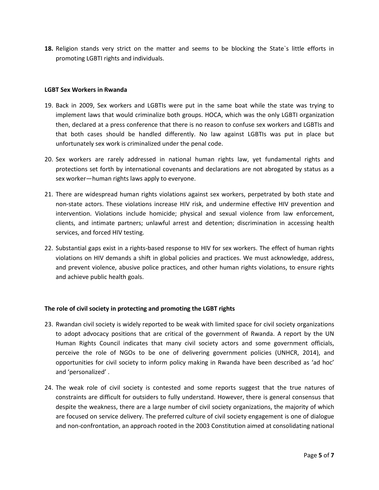**18.** Religion stands very strict on the matter and seems to be blocking the State`s little efforts in promoting LGBTI rights and individuals.

#### **LGBT Sex Workers in Rwanda**

- 19. Back in 2009, Sex workers and LGBTIs were put in the same boat while the state was trying to implement laws that would criminalize both groups. HOCA, which was the only LGBTI organization then, declared at a press conference that there is no reason to confuse sex workers and LGBTIs and that both cases should be handled differently. No law against LGBTIs was put in place but unfortunately sex work is criminalized under the penal code.
- 20. Sex workers are rarely addressed in national human rights law, yet fundamental rights and protections set forth by international covenants and declarations are not abrogated by status as a sex worker—human rights laws apply to everyone.
- 21. There are widespread human rights violations against sex workers, perpetrated by both state and non-state actors. These violations increase HIV risk, and undermine effective HIV prevention and intervention. Violations include homicide; physical and sexual violence from law enforcement, clients, and intimate partners; unlawful arrest and detention; discrimination in accessing health services, and forced HIV testing.
- 22. Substantial gaps exist in a rights-based response to HIV for sex workers. The effect of human rights violations on HIV demands a shift in global policies and practices. We must acknowledge, address, and prevent violence, abusive police practices, and other human rights violations, to ensure rights and achieve public health goals.

## **The role of civil society in protecting and promoting the LGBT rights**

- 23. Rwandan civil society is widely reported to be weak with limited space for civil society organizations to adopt advocacy positions that are critical of the government of Rwanda. A report by the UN Human Rights Council indicates that many civil society actors and some government officials, perceive the role of NGOs to be one of delivering government policies (UNHCR, 2014), and opportunities for civil society to inform policy making in Rwanda have been described as 'ad hoc' and 'personalized' .
- 24. The weak role of civil society is contested and some reports suggest that the true natures of constraints are difficult for outsiders to fully understand. However, there is general consensus that despite the weakness, there are a large number of civil society organizations, the majority of which are focused on service delivery. The preferred culture of civil society engagement is one of dialogue and non-confrontation, an approach rooted in the 2003 Constitution aimed at consolidating national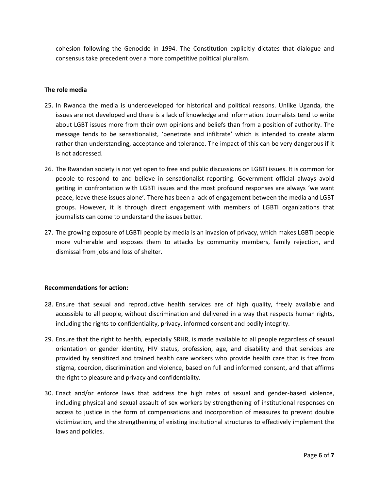cohesion following the Genocide in 1994. The Constitution explicitly dictates that dialogue and consensus take precedent over a more competitive political pluralism.

### **The role media**

- 25. In Rwanda the media is underdeveloped for historical and political reasons. Unlike Uganda, the issues are not developed and there is a lack of knowledge and information. Journalists tend to write about LGBT issues more from their own opinions and beliefs than from a position of authority. The message tends to be sensationalist, 'penetrate and infiltrate' which is intended to create alarm rather than understanding, acceptance and tolerance. The impact of this can be very dangerous if it is not addressed.
- 26. The Rwandan society is not yet open to free and public discussions on LGBTI issues. It is common for people to respond to and believe in sensationalist reporting. Government official always avoid getting in confrontation with LGBTI issues and the most profound responses are always 'we want peace, leave these issues alone'. There has been a lack of engagement between the media and LGBT groups. However, it is through direct engagement with members of LGBTI organizations that journalists can come to understand the issues better.
- 27. The growing exposure of LGBTI people by media is an invasion of privacy, which makes LGBTI people more vulnerable and exposes them to attacks by community members, family rejection, and dismissal from jobs and loss of shelter.

## **Recommendations for action:**

- 28. Ensure that sexual and reproductive health services are of high quality, freely available and accessible to all people, without discrimination and delivered in a way that respects human rights, including the rights to confidentiality, privacy, informed consent and bodily integrity.
- 29. Ensure that the right to health, especially SRHR, is made available to all people regardless of sexual orientation or gender identity, HIV status, profession, age, and disability and that services are provided by sensitized and trained health care workers who provide health care that is free from stigma, coercion, discrimination and violence, based on full and informed consent, and that affirms the right to pleasure and privacy and confidentiality.
- 30. Enact and/or enforce laws that address the high rates of sexual and gender-based violence, including physical and sexual assault of sex workers by strengthening of institutional responses on access to justice in the form of compensations and incorporation of measures to prevent double victimization, and the strengthening of existing institutional structures to effectively implement the laws and policies.